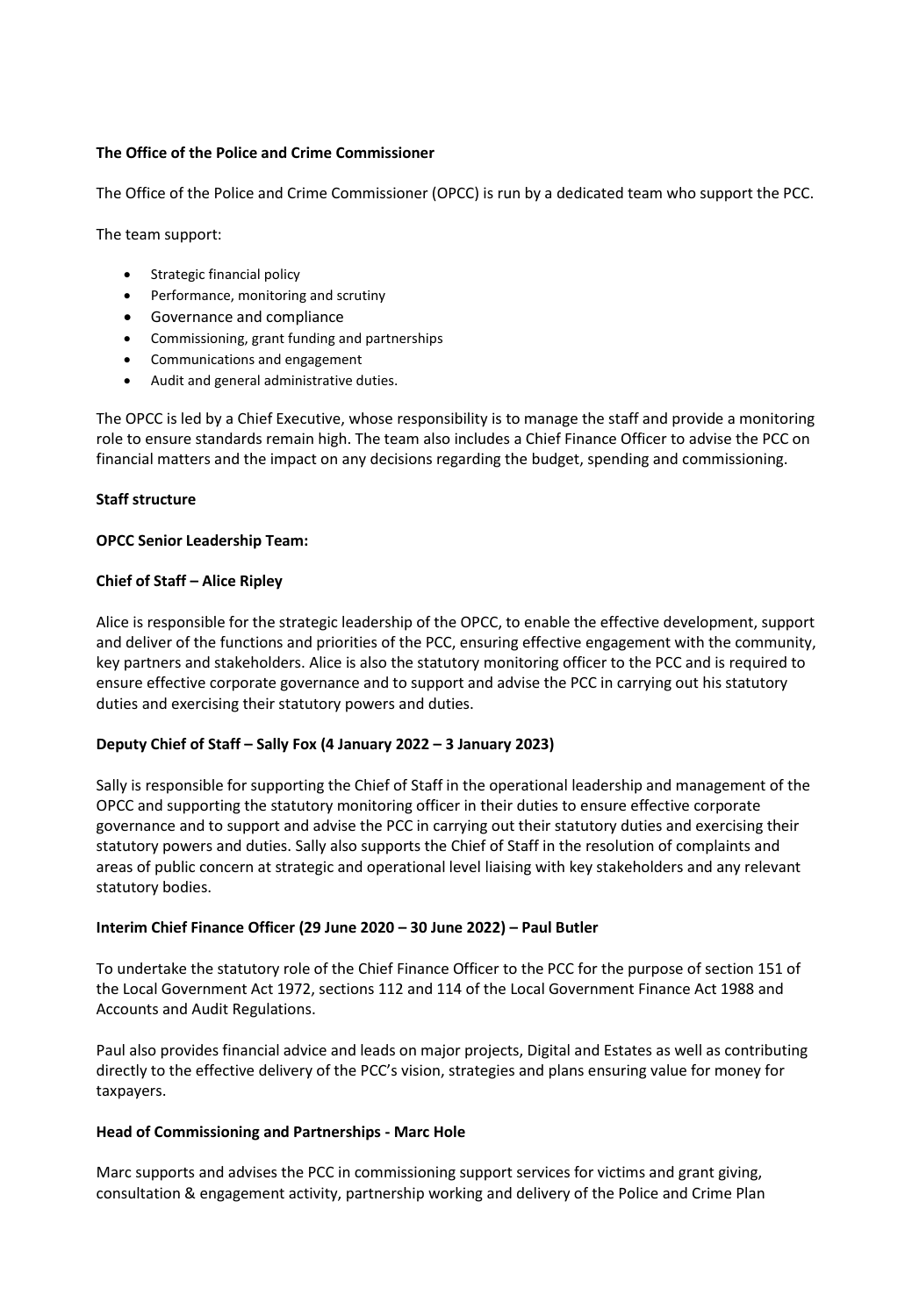# **The Office of the Police and Crime Commissioner**

The Office of the Police and Crime Commissioner (OPCC) is run by a dedicated team who support the PCC.

The team support:

- Strategic financial policy
- Performance, monitoring and scrutiny
- Governance and compliance
- Commissioning, grant funding and partnerships
- Communications and engagement
- Audit and general administrative duties.

The OPCC is led by a Chief Executive, whose responsibility is to manage the staff and provide a monitoring role to ensure standards remain high. The team also includes a Chief Finance Officer to advise the PCC on financial matters and the impact on any decisions regarding the budget, spending and commissioning.

## **Staff structure**

## **OPCC Senior Leadership Team:**

## **Chief of Staff – Alice Ripley**

Alice is responsible for the strategic leadership of the OPCC, to enable the effective development, support and deliver of the functions and priorities of the PCC, ensuring effective engagement with the community, key partners and stakeholders. Alice is also the statutory monitoring officer to the PCC and is required to ensure effective corporate governance and to support and advise the PCC in carrying out his statutory duties and exercising their statutory powers and duties.

## **Deputy Chief of Staff – Sally Fox (4 January 2022 – 3 January 2023)**

Sally is responsible for supporting the Chief of Staff in the operational leadership and management of the OPCC and supporting the statutory monitoring officer in their duties to ensure effective corporate governance and to support and advise the PCC in carrying out their statutory duties and exercising their statutory powers and duties. Sally also supports the Chief of Staff in the resolution of complaints and areas of public concern at strategic and operational level liaising with key stakeholders and any relevant statutory bodies.

## **Interim Chief Finance Officer (29 June 2020 – 30 June 2022) – Paul Butler**

To undertake the statutory role of the Chief Finance Officer to the PCC for the purpose of section 151 of the Local Government Act 1972, sections 112 and 114 of the Local Government Finance Act 1988 and Accounts and Audit Regulations.

Paul also provides financial advice and leads on major projects, Digital and Estates as well as contributing directly to the effective delivery of the PCC's vision, strategies and plans ensuring value for money for taxpayers.

## **Head of Commissioning and Partnerships - Marc Hole**

Marc supports and advises the PCC in commissioning support services for victims and grant giving, consultation & engagement activity, partnership working and delivery of the Police and Crime Plan